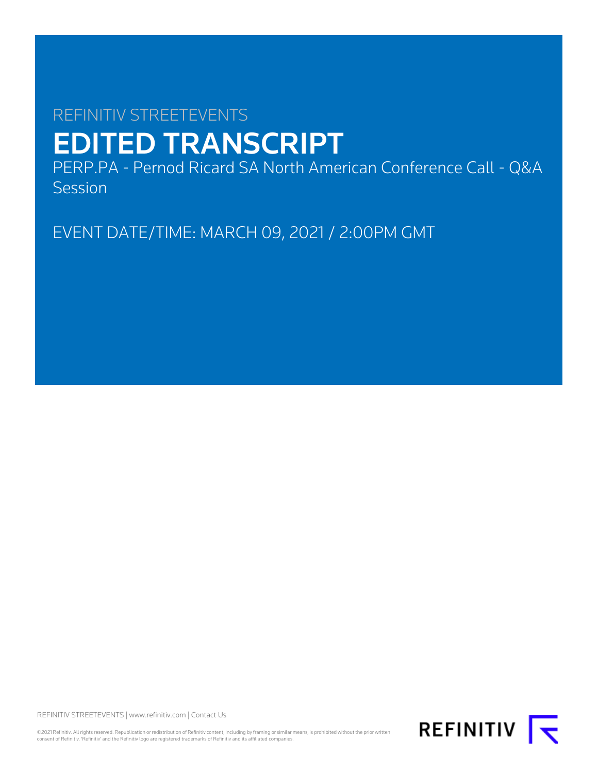# REFINITIV STREETEVENTS EDITED TRANSCRIPT

PERP.PA - Pernod Ricard SA North American Conference Call - Q&A **Session** 

EVENT DATE/TIME: MARCH 09, 2021 / 2:00PM GMT

REFINITIV STREETEVENTS | [www.refinitiv.com](https://www.refinitiv.com/) | [Contact Us](https://www.refinitiv.com/en/contact-us)

©2021 Refinitiv. All rights reserved. Republication or redistribution of Refinitiv content, including by framing or similar means, is prohibited without the prior written consent of Refinitiv. 'Refinitiv' and the Refinitiv logo are registered trademarks of Refinitiv and its affiliated companies.

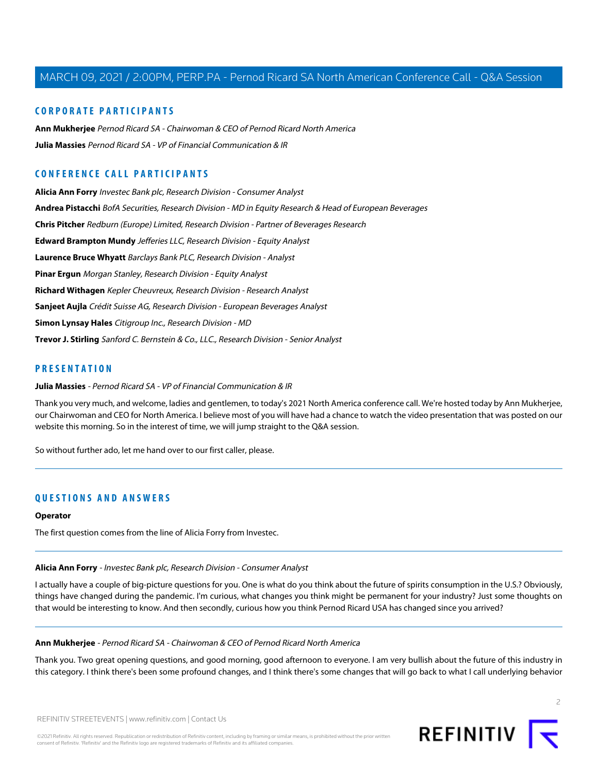# **CORPORATE PARTICIPANTS**

**[Ann Mukherjee](#page-1-0)** Pernod Ricard SA - Chairwoman & CEO of Pernod Ricard North America **[Julia Massies](#page-1-1)** Pernod Ricard SA - VP of Financial Communication & IR

# **CONFERENCE CALL PARTICIPANTS**

**[Alicia Ann Forry](#page-1-2)** Investec Bank plc, Research Division - Consumer Analyst **[Andrea Pistacchi](#page-6-0)** BofA Securities, Research Division - MD in Equity Research & Head of European Beverages **[Chris Pitcher](#page-7-0)** Redburn (Europe) Limited, Research Division - Partner of Beverages Research **[Edward Brampton Mundy](#page-5-0)** Jefferies LLC, Research Division - Equity Analyst **[Laurence Bruce Whyatt](#page-4-0)** Barclays Bank PLC, Research Division - Analyst **[Pinar Ergun](#page-9-0)** Morgan Stanley, Research Division - Equity Analyst **[Richard Withagen](#page-9-1)** Kepler Cheuvreux, Research Division - Research Analyst **[Sanjeet Aujla](#page-11-0)** Crédit Suisse AG, Research Division - European Beverages Analyst **[Simon Lynsay Hales](#page-2-0)** Citigroup Inc., Research Division - MD **[Trevor J. Stirling](#page-3-0)** Sanford C. Bernstein & Co., LLC., Research Division - Senior Analyst

# <span id="page-1-1"></span>**PRESENTATION**

#### **Julia Massies** - Pernod Ricard SA - VP of Financial Communication & IR

Thank you very much, and welcome, ladies and gentlemen, to today's 2021 North America conference call. We're hosted today by Ann Mukherjee, our Chairwoman and CEO for North America. I believe most of you will have had a chance to watch the video presentation that was posted on our website this morning. So in the interest of time, we will jump straight to the Q&A session.

So without further ado, let me hand over to our first caller, please.

# **QUESTIONS AND ANSWERS**

#### <span id="page-1-2"></span>**Operator**

The first question comes from the line of Alicia Forry from Investec.

#### **Alicia Ann Forry** - Investec Bank plc, Research Division - Consumer Analyst

<span id="page-1-0"></span>I actually have a couple of big-picture questions for you. One is what do you think about the future of spirits consumption in the U.S.? Obviously, things have changed during the pandemic. I'm curious, what changes you think might be permanent for your industry? Just some thoughts on that would be interesting to know. And then secondly, curious how you think Pernod Ricard USA has changed since you arrived?

#### **Ann Mukherjee** - Pernod Ricard SA - Chairwoman & CEO of Pernod Ricard North America

Thank you. Two great opening questions, and good morning, good afternoon to everyone. I am very bullish about the future of this industry in this category. I think there's been some profound changes, and I think there's some changes that will go back to what I call underlying behavior

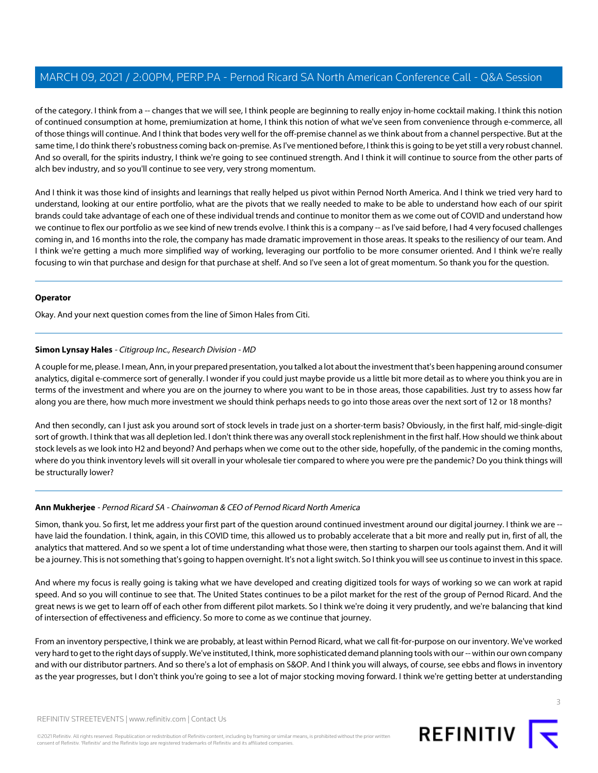of the category. I think from a -- changes that we will see, I think people are beginning to really enjoy in-home cocktail making. I think this notion of continued consumption at home, premiumization at home, I think this notion of what we've seen from convenience through e-commerce, all of those things will continue. And I think that bodes very well for the off-premise channel as we think about from a channel perspective. But at the same time, I do think there's robustness coming back on-premise. As I've mentioned before, I think this is going to be yet still a very robust channel. And so overall, for the spirits industry, I think we're going to see continued strength. And I think it will continue to source from the other parts of alch bev industry, and so you'll continue to see very, very strong momentum.

And I think it was those kind of insights and learnings that really helped us pivot within Pernod North America. And I think we tried very hard to understand, looking at our entire portfolio, what are the pivots that we really needed to make to be able to understand how each of our spirit brands could take advantage of each one of these individual trends and continue to monitor them as we come out of COVID and understand how we continue to flex our portfolio as we see kind of new trends evolve. I think this is a company -- as I've said before, I had 4 very focused challenges coming in, and 16 months into the role, the company has made dramatic improvement in those areas. It speaks to the resiliency of our team. And I think we're getting a much more simplified way of working, leveraging our portfolio to be more consumer oriented. And I think we're really focusing to win that purchase and design for that purchase at shelf. And so I've seen a lot of great momentum. So thank you for the question.

# **Operator**

<span id="page-2-0"></span>Okay. And your next question comes from the line of Simon Hales from Citi.

# **Simon Lynsay Hales** - Citigroup Inc., Research Division - MD

A couple for me, please. I mean, Ann, in your prepared presentation, you talked a lot about the investment that's been happening around consumer analytics, digital e-commerce sort of generally. I wonder if you could just maybe provide us a little bit more detail as to where you think you are in terms of the investment and where you are on the journey to where you want to be in those areas, those capabilities. Just try to assess how far along you are there, how much more investment we should think perhaps needs to go into those areas over the next sort of 12 or 18 months?

And then secondly, can I just ask you around sort of stock levels in trade just on a shorter-term basis? Obviously, in the first half, mid-single-digit sort of growth. I think that was all depletion led. I don't think there was any overall stock replenishment in the first half. How should we think about stock levels as we look into H2 and beyond? And perhaps when we come out to the other side, hopefully, of the pandemic in the coming months, where do you think inventory levels will sit overall in your wholesale tier compared to where you were pre the pandemic? Do you think things will be structurally lower?

# **Ann Mukherjee** - Pernod Ricard SA - Chairwoman & CEO of Pernod Ricard North America

Simon, thank you. So first, let me address your first part of the question around continued investment around our digital journey. I think we are -have laid the foundation. I think, again, in this COVID time, this allowed us to probably accelerate that a bit more and really put in, first of all, the analytics that mattered. And so we spent a lot of time understanding what those were, then starting to sharpen our tools against them. And it will be a journey. This is not something that's going to happen overnight. It's not a light switch. So I think you will see us continue to invest in this space.

And where my focus is really going is taking what we have developed and creating digitized tools for ways of working so we can work at rapid speed. And so you will continue to see that. The United States continues to be a pilot market for the rest of the group of Pernod Ricard. And the great news is we get to learn off of each other from different pilot markets. So I think we're doing it very prudently, and we're balancing that kind of intersection of effectiveness and efficiency. So more to come as we continue that journey.

From an inventory perspective, I think we are probably, at least within Pernod Ricard, what we call fit-for-purpose on our inventory. We've worked very hard to get to the right days of supply. We've instituted, I think, more sophisticated demand planning tools with our -- within our own company and with our distributor partners. And so there's a lot of emphasis on S&OP. And I think you will always, of course, see ebbs and flows in inventory as the year progresses, but I don't think you're going to see a lot of major stocking moving forward. I think we're getting better at understanding

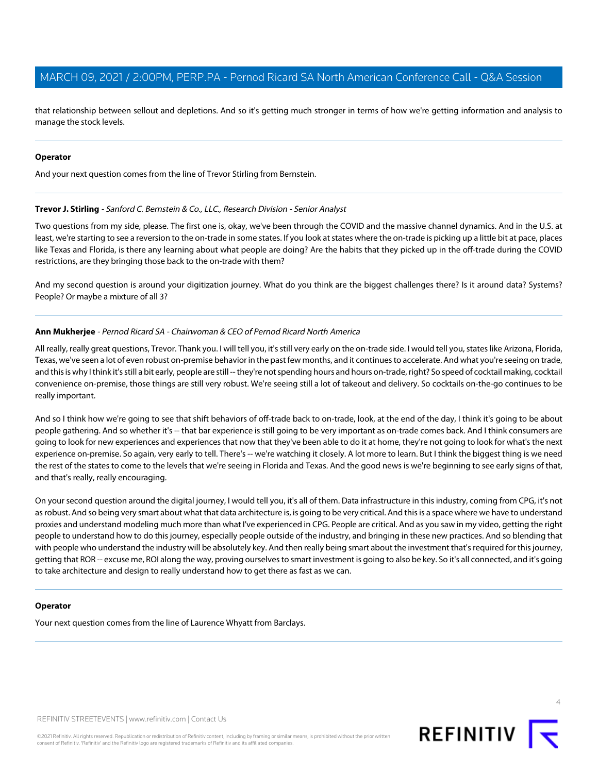that relationship between sellout and depletions. And so it's getting much stronger in terms of how we're getting information and analysis to manage the stock levels.

#### **Operator**

<span id="page-3-0"></span>And your next question comes from the line of Trevor Stirling from Bernstein.

#### **Trevor J. Stirling** - Sanford C. Bernstein & Co., LLC., Research Division - Senior Analyst

Two questions from my side, please. The first one is, okay, we've been through the COVID and the massive channel dynamics. And in the U.S. at least, we're starting to see a reversion to the on-trade in some states. If you look at states where the on-trade is picking up a little bit at pace, places like Texas and Florida, is there any learning about what people are doing? Are the habits that they picked up in the off-trade during the COVID restrictions, are they bringing those back to the on-trade with them?

And my second question is around your digitization journey. What do you think are the biggest challenges there? Is it around data? Systems? People? Or maybe a mixture of all 3?

#### **Ann Mukherjee** - Pernod Ricard SA - Chairwoman & CEO of Pernod Ricard North America

All really, really great questions, Trevor. Thank you. I will tell you, it's still very early on the on-trade side. I would tell you, states like Arizona, Florida, Texas, we've seen a lot of even robust on-premise behavior in the past few months, and it continues to accelerate. And what you're seeing on trade, and this is why I think it's still a bit early, people are still -- they're not spending hours and hours on-trade, right? So speed of cocktail making, cocktail convenience on-premise, those things are still very robust. We're seeing still a lot of takeout and delivery. So cocktails on-the-go continues to be really important.

And so I think how we're going to see that shift behaviors of off-trade back to on-trade, look, at the end of the day, I think it's going to be about people gathering. And so whether it's -- that bar experience is still going to be very important as on-trade comes back. And I think consumers are going to look for new experiences and experiences that now that they've been able to do it at home, they're not going to look for what's the next experience on-premise. So again, very early to tell. There's -- we're watching it closely. A lot more to learn. But I think the biggest thing is we need the rest of the states to come to the levels that we're seeing in Florida and Texas. And the good news is we're beginning to see early signs of that, and that's really, really encouraging.

On your second question around the digital journey, I would tell you, it's all of them. Data infrastructure in this industry, coming from CPG, it's not as robust. And so being very smart about what that data architecture is, is going to be very critical. And this is a space where we have to understand proxies and understand modeling much more than what I've experienced in CPG. People are critical. And as you saw in my video, getting the right people to understand how to do this journey, especially people outside of the industry, and bringing in these new practices. And so blending that with people who understand the industry will be absolutely key. And then really being smart about the investment that's required for this journey, getting that ROR -- excuse me, ROI along the way, proving ourselves to smart investment is going to also be key. So it's all connected, and it's going to take architecture and design to really understand how to get there as fast as we can.

# **Operator**

Your next question comes from the line of Laurence Whyatt from Barclays.



©2021 Refinitiv. All rights reserved. Republication or redistribution of Refinitiv content, including by framing or similar means, is prohibited without the prior written consent of Refinitiv. 'Refinitiv' and the Refinitiv logo are registered trademarks of Refinitiv and its affiliated companies.



**REFINITIV**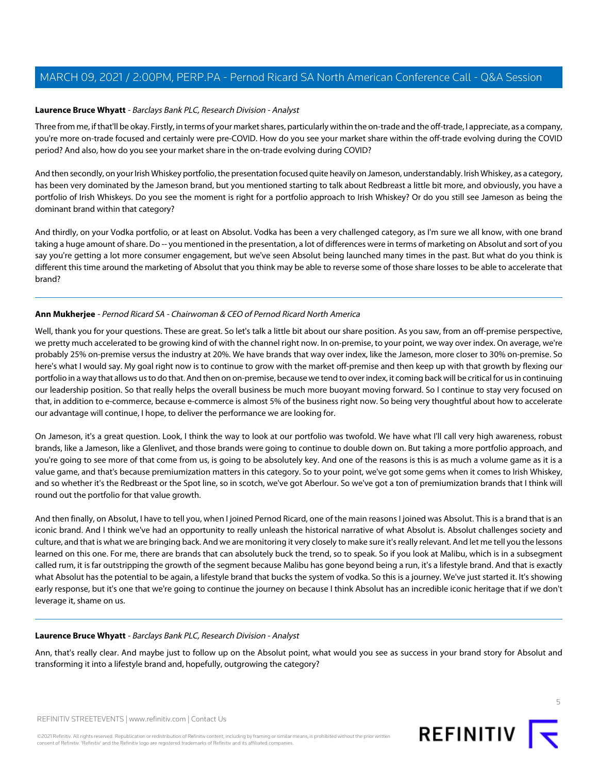## <span id="page-4-0"></span>**Laurence Bruce Whyatt** - Barclays Bank PLC, Research Division - Analyst

Three from me, if that'll be okay. Firstly, in terms of your market shares, particularly within the on-trade and the off-trade, I appreciate, as a company, you're more on-trade focused and certainly were pre-COVID. How do you see your market share within the off-trade evolving during the COVID period? And also, how do you see your market share in the on-trade evolving during COVID?

And then secondly, on your Irish Whiskey portfolio, the presentation focused quite heavily on Jameson, understandably. Irish Whiskey, as a category, has been very dominated by the Jameson brand, but you mentioned starting to talk about Redbreast a little bit more, and obviously, you have a portfolio of Irish Whiskeys. Do you see the moment is right for a portfolio approach to Irish Whiskey? Or do you still see Jameson as being the dominant brand within that category?

And thirdly, on your Vodka portfolio, or at least on Absolut. Vodka has been a very challenged category, as I'm sure we all know, with one brand taking a huge amount of share. Do -- you mentioned in the presentation, a lot of differences were in terms of marketing on Absolut and sort of you say you're getting a lot more consumer engagement, but we've seen Absolut being launched many times in the past. But what do you think is different this time around the marketing of Absolut that you think may be able to reverse some of those share losses to be able to accelerate that brand?

# **Ann Mukherjee** - Pernod Ricard SA - Chairwoman & CEO of Pernod Ricard North America

Well, thank you for your questions. These are great. So let's talk a little bit about our share position. As you saw, from an off-premise perspective, we pretty much accelerated to be growing kind of with the channel right now. In on-premise, to your point, we way over index. On average, we're probably 25% on-premise versus the industry at 20%. We have brands that way over index, like the Jameson, more closer to 30% on-premise. So here's what I would say. My goal right now is to continue to grow with the market off-premise and then keep up with that growth by flexing our portfolio in a way that allows us to do that. And then on on-premise, because we tend to over index, it coming back will be critical for us in continuing our leadership position. So that really helps the overall business be much more buoyant moving forward. So I continue to stay very focused on that, in addition to e-commerce, because e-commerce is almost 5% of the business right now. So being very thoughtful about how to accelerate our advantage will continue, I hope, to deliver the performance we are looking for.

On Jameson, it's a great question. Look, I think the way to look at our portfolio was twofold. We have what I'll call very high awareness, robust brands, like a Jameson, like a Glenlivet, and those brands were going to continue to double down on. But taking a more portfolio approach, and you're going to see more of that come from us, is going to be absolutely key. And one of the reasons is this is as much a volume game as it is a value game, and that's because premiumization matters in this category. So to your point, we've got some gems when it comes to Irish Whiskey, and so whether it's the Redbreast or the Spot line, so in scotch, we've got Aberlour. So we've got a ton of premiumization brands that I think will round out the portfolio for that value growth.

And then finally, on Absolut, I have to tell you, when I joined Pernod Ricard, one of the main reasons I joined was Absolut. This is a brand that is an iconic brand. And I think we've had an opportunity to really unleash the historical narrative of what Absolut is. Absolut challenges society and culture, and that is what we are bringing back. And we are monitoring it very closely to make sure it's really relevant. And let me tell you the lessons learned on this one. For me, there are brands that can absolutely buck the trend, so to speak. So if you look at Malibu, which is in a subsegment called rum, it is far outstripping the growth of the segment because Malibu has gone beyond being a run, it's a lifestyle brand. And that is exactly what Absolut has the potential to be again, a lifestyle brand that bucks the system of vodka. So this is a journey. We've just started it. It's showing early response, but it's one that we're going to continue the journey on because I think Absolut has an incredible iconic heritage that if we don't leverage it, shame on us.

#### **Laurence Bruce Whyatt** - Barclays Bank PLC, Research Division - Analyst

Ann, that's really clear. And maybe just to follow up on the Absolut point, what would you see as success in your brand story for Absolut and transforming it into a lifestyle brand and, hopefully, outgrowing the category?

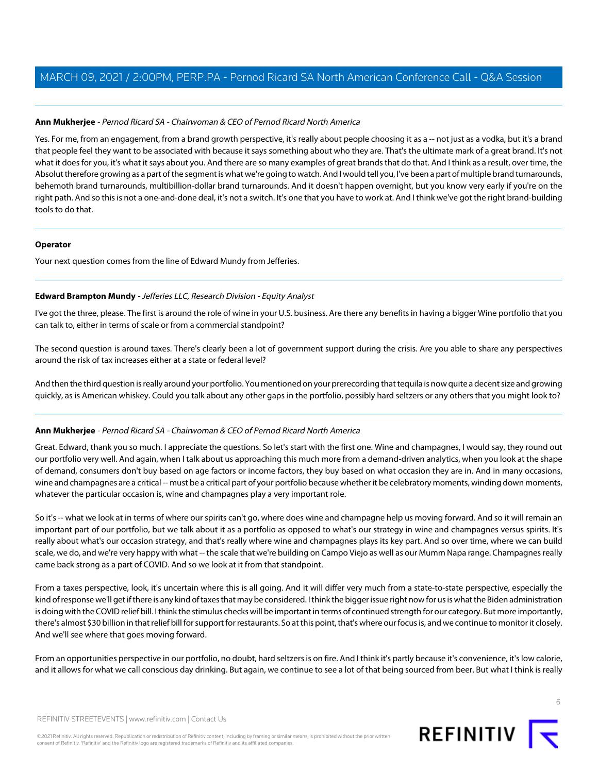# **Ann Mukherjee** - Pernod Ricard SA - Chairwoman & CEO of Pernod Ricard North America

Yes. For me, from an engagement, from a brand growth perspective, it's really about people choosing it as a -- not just as a vodka, but it's a brand that people feel they want to be associated with because it says something about who they are. That's the ultimate mark of a great brand. It's not what it does for you, it's what it says about you. And there are so many examples of great brands that do that. And I think as a result, over time, the Absolut therefore growing as a part of the segment is what we're going to watch. And I would tell you, I've been a part of multiple brand turnarounds, behemoth brand turnarounds, multibillion-dollar brand turnarounds. And it doesn't happen overnight, but you know very early if you're on the right path. And so this is not a one-and-done deal, it's not a switch. It's one that you have to work at. And I think we've got the right brand-building tools to do that.

#### **Operator**

<span id="page-5-0"></span>Your next question comes from the line of Edward Mundy from Jefferies.

# **Edward Brampton Mundy** - Jefferies LLC, Research Division - Equity Analyst

I've got the three, please. The first is around the role of wine in your U.S. business. Are there any benefits in having a bigger Wine portfolio that you can talk to, either in terms of scale or from a commercial standpoint?

The second question is around taxes. There's clearly been a lot of government support during the crisis. Are you able to share any perspectives around the risk of tax increases either at a state or federal level?

And then the third question is really around your portfolio. You mentioned on your prerecording that tequila is now quite a decent size and growing quickly, as is American whiskey. Could you talk about any other gaps in the portfolio, possibly hard seltzers or any others that you might look to?

# **Ann Mukherjee** - Pernod Ricard SA - Chairwoman & CEO of Pernod Ricard North America

Great. Edward, thank you so much. I appreciate the questions. So let's start with the first one. Wine and champagnes, I would say, they round out our portfolio very well. And again, when I talk about us approaching this much more from a demand-driven analytics, when you look at the shape of demand, consumers don't buy based on age factors or income factors, they buy based on what occasion they are in. And in many occasions, wine and champagnes are a critical -- must be a critical part of your portfolio because whether it be celebratory moments, winding down moments, whatever the particular occasion is, wine and champagnes play a very important role.

So it's -- what we look at in terms of where our spirits can't go, where does wine and champagne help us moving forward. And so it will remain an important part of our portfolio, but we talk about it as a portfolio as opposed to what's our strategy in wine and champagnes versus spirits. It's really about what's our occasion strategy, and that's really where wine and champagnes plays its key part. And so over time, where we can build scale, we do, and we're very happy with what -- the scale that we're building on Campo Viejo as well as our Mumm Napa range. Champagnes really came back strong as a part of COVID. And so we look at it from that standpoint.

From a taxes perspective, look, it's uncertain where this is all going. And it will differ very much from a state-to-state perspective, especially the kind of response we'll get if there is any kind of taxes that may be considered. I think the bigger issue right now for us is what the Biden administration is doing with the COVID relief bill. I think the stimulus checks will be important in terms of continued strength for our category. But more importantly, there's almost \$30 billion in that relief bill for support for restaurants. So at this point, that's where our focus is, and we continue to monitor it closely. And we'll see where that goes moving forward.

From an opportunities perspective in our portfolio, no doubt, hard seltzers is on fire. And I think it's partly because it's convenience, it's low calorie, and it allows for what we call conscious day drinking. But again, we continue to see a lot of that being sourced from beer. But what I think is really

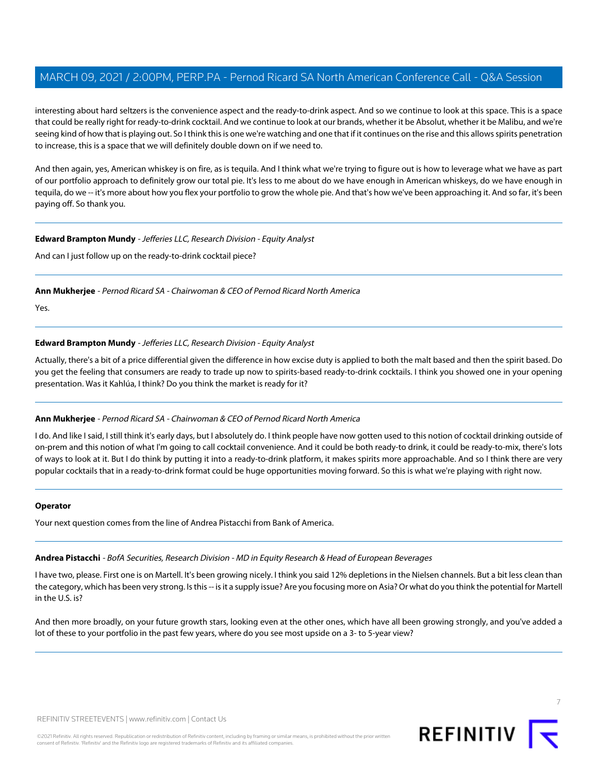interesting about hard seltzers is the convenience aspect and the ready-to-drink aspect. And so we continue to look at this space. This is a space that could be really right for ready-to-drink cocktail. And we continue to look at our brands, whether it be Absolut, whether it be Malibu, and we're seeing kind of how that is playing out. So I think this is one we're watching and one that if it continues on the rise and this allows spirits penetration to increase, this is a space that we will definitely double down on if we need to.

And then again, yes, American whiskey is on fire, as is tequila. And I think what we're trying to figure out is how to leverage what we have as part of our portfolio approach to definitely grow our total pie. It's less to me about do we have enough in American whiskeys, do we have enough in tequila, do we -- it's more about how you flex your portfolio to grow the whole pie. And that's how we've been approaching it. And so far, it's been paying off. So thank you.

#### **Edward Brampton Mundy** - Jefferies LLC, Research Division - Equity Analyst

And can I just follow up on the ready-to-drink cocktail piece?

**Ann Mukherjee** - Pernod Ricard SA - Chairwoman & CEO of Pernod Ricard North America

Yes.

# **Edward Brampton Mundy** - Jefferies LLC, Research Division - Equity Analyst

Actually, there's a bit of a price differential given the difference in how excise duty is applied to both the malt based and then the spirit based. Do you get the feeling that consumers are ready to trade up now to spirits-based ready-to-drink cocktails. I think you showed one in your opening presentation. Was it Kahlúa, I think? Do you think the market is ready for it?

# **Ann Mukherjee** - Pernod Ricard SA - Chairwoman & CEO of Pernod Ricard North America

I do. And like I said, I still think it's early days, but I absolutely do. I think people have now gotten used to this notion of cocktail drinking outside of on-prem and this notion of what I'm going to call cocktail convenience. And it could be both ready-to drink, it could be ready-to-mix, there's lots of ways to look at it. But I do think by putting it into a ready-to-drink platform, it makes spirits more approachable. And so I think there are very popular cocktails that in a ready-to-drink format could be huge opportunities moving forward. So this is what we're playing with right now.

#### <span id="page-6-0"></span>**Operator**

Your next question comes from the line of Andrea Pistacchi from Bank of America.

# **Andrea Pistacchi** - BofA Securities, Research Division - MD in Equity Research & Head of European Beverages

I have two, please. First one is on Martell. It's been growing nicely. I think you said 12% depletions in the Nielsen channels. But a bit less clean than the category, which has been very strong. Is this -- is it a supply issue? Are you focusing more on Asia? Or what do you think the potential for Martell in the U.S. is?

And then more broadly, on your future growth stars, looking even at the other ones, which have all been growing strongly, and you've added a lot of these to your portfolio in the past few years, where do you see most upside on a 3- to 5-year view?

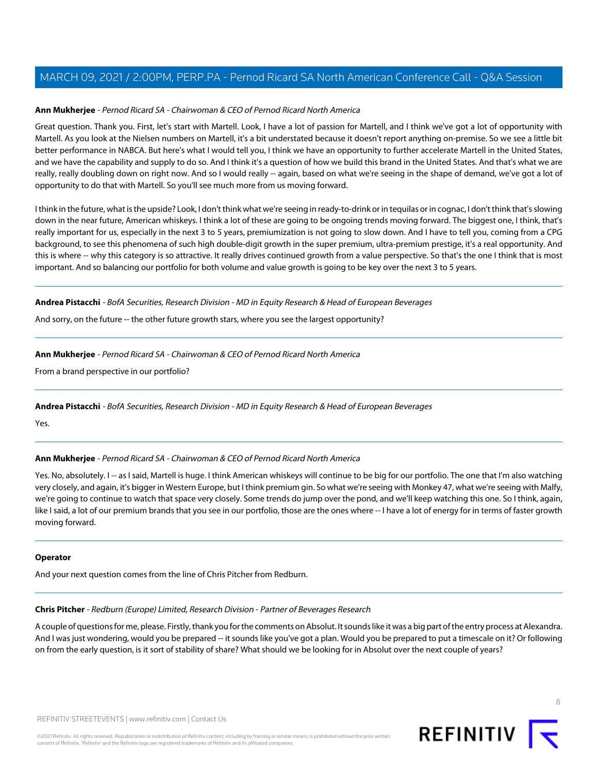# **Ann Mukherjee** - Pernod Ricard SA - Chairwoman & CEO of Pernod Ricard North America

Great question. Thank you. First, let's start with Martell. Look, I have a lot of passion for Martell, and I think we've got a lot of opportunity with Martell. As you look at the Nielsen numbers on Martell, it's a bit understated because it doesn't report anything on-premise. So we see a little bit better performance in NABCA. But here's what I would tell you, I think we have an opportunity to further accelerate Martell in the United States, and we have the capability and supply to do so. And I think it's a question of how we build this brand in the United States. And that's what we are really, really doubling down on right now. And so I would really -- again, based on what we're seeing in the shape of demand, we've got a lot of opportunity to do that with Martell. So you'll see much more from us moving forward.

I think in the future, what is the upside? Look, I don't think what we're seeing in ready-to-drink or in tequilas or in cognac, I don't think that's slowing down in the near future, American whiskeys. I think a lot of these are going to be ongoing trends moving forward. The biggest one, I think, that's really important for us, especially in the next 3 to 5 years, premiumization is not going to slow down. And I have to tell you, coming from a CPG background, to see this phenomena of such high double-digit growth in the super premium, ultra-premium prestige, it's a real opportunity. And this is where -- why this category is so attractive. It really drives continued growth from a value perspective. So that's the one I think that is most important. And so balancing our portfolio for both volume and value growth is going to be key over the next 3 to 5 years.

#### **Andrea Pistacchi** - BofA Securities, Research Division - MD in Equity Research & Head of European Beverages

And sorry, on the future -- the other future growth stars, where you see the largest opportunity?

# **Ann Mukherjee** - Pernod Ricard SA - Chairwoman & CEO of Pernod Ricard North America

From a brand perspective in our portfolio?

#### **Andrea Pistacchi** - BofA Securities, Research Division - MD in Equity Research & Head of European Beverages

Yes.

# **Ann Mukherjee** - Pernod Ricard SA - Chairwoman & CEO of Pernod Ricard North America

Yes. No, absolutely. I -- as I said, Martell is huge. I think American whiskeys will continue to be big for our portfolio. The one that I'm also watching very closely, and again, it's bigger in Western Europe, but I think premium gin. So what we're seeing with Monkey 47, what we're seeing with Malfy, we're going to continue to watch that space very closely. Some trends do jump over the pond, and we'll keep watching this one. So I think, again, like I said, a lot of our premium brands that you see in our portfolio, those are the ones where -- I have a lot of energy for in terms of faster growth moving forward.

#### <span id="page-7-0"></span>**Operator**

And your next question comes from the line of Chris Pitcher from Redburn.

#### **Chris Pitcher** - Redburn (Europe) Limited, Research Division - Partner of Beverages Research

A couple of questions for me, please. Firstly, thank you for the comments on Absolut. It sounds like it was a big part of the entry process at Alexandra. And I was just wondering, would you be prepared -- it sounds like you've got a plan. Would you be prepared to put a timescale on it? Or following on from the early question, is it sort of stability of share? What should we be looking for in Absolut over the next couple of years?

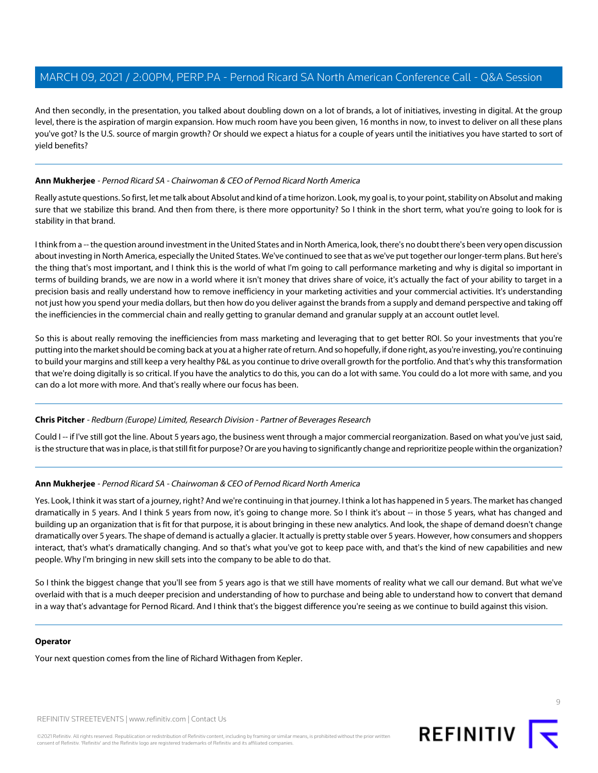And then secondly, in the presentation, you talked about doubling down on a lot of brands, a lot of initiatives, investing in digital. At the group level, there is the aspiration of margin expansion. How much room have you been given, 16 months in now, to invest to deliver on all these plans you've got? Is the U.S. source of margin growth? Or should we expect a hiatus for a couple of years until the initiatives you have started to sort of yield benefits?

# **Ann Mukherjee** - Pernod Ricard SA - Chairwoman & CEO of Pernod Ricard North America

Really astute questions. So first, let me talk about Absolut and kind of a time horizon. Look, my goal is, to your point, stability on Absolut and making sure that we stabilize this brand. And then from there, is there more opportunity? So I think in the short term, what you're going to look for is stability in that brand.

I think from a -- the question around investment in the United States and in North America, look, there's no doubt there's been very open discussion about investing in North America, especially the United States. We've continued to see that as we've put together our longer-term plans. But here's the thing that's most important, and I think this is the world of what I'm going to call performance marketing and why is digital so important in terms of building brands, we are now in a world where it isn't money that drives share of voice, it's actually the fact of your ability to target in a precision basis and really understand how to remove inefficiency in your marketing activities and your commercial activities. It's understanding not just how you spend your media dollars, but then how do you deliver against the brands from a supply and demand perspective and taking off the inefficiencies in the commercial chain and really getting to granular demand and granular supply at an account outlet level.

So this is about really removing the inefficiencies from mass marketing and leveraging that to get better ROI. So your investments that you're putting into the market should be coming back at you at a higher rate of return. And so hopefully, if done right, as you're investing, you're continuing to build your margins and still keep a very healthy P&L as you continue to drive overall growth for the portfolio. And that's why this transformation that we're doing digitally is so critical. If you have the analytics to do this, you can do a lot with same. You could do a lot more with same, and you can do a lot more with more. And that's really where our focus has been.

# **Chris Pitcher** - Redburn (Europe) Limited, Research Division - Partner of Beverages Research

Could I -- if I've still got the line. About 5 years ago, the business went through a major commercial reorganization. Based on what you've just said, is the structure that was in place, is that still fit for purpose? Or are you having to significantly change and reprioritize people within the organization?

# **Ann Mukherjee** - Pernod Ricard SA - Chairwoman & CEO of Pernod Ricard North America

Yes. Look, I think it was start of a journey, right? And we're continuing in that journey. I think a lot has happened in 5 years. The market has changed dramatically in 5 years. And I think 5 years from now, it's going to change more. So I think it's about -- in those 5 years, what has changed and building up an organization that is fit for that purpose, it is about bringing in these new analytics. And look, the shape of demand doesn't change dramatically over 5 years. The shape of demand is actually a glacier. It actually is pretty stable over 5 years. However, how consumers and shoppers interact, that's what's dramatically changing. And so that's what you've got to keep pace with, and that's the kind of new capabilities and new people. Why I'm bringing in new skill sets into the company to be able to do that.

So I think the biggest change that you'll see from 5 years ago is that we still have moments of reality what we call our demand. But what we've overlaid with that is a much deeper precision and understanding of how to purchase and being able to understand how to convert that demand in a way that's advantage for Pernod Ricard. And I think that's the biggest difference you're seeing as we continue to build against this vision.

#### **Operator**

Your next question comes from the line of Richard Withagen from Kepler.

REFINITIV STREETEVENTS | [www.refinitiv.com](https://www.refinitiv.com/) | [Contact Us](https://www.refinitiv.com/en/contact-us)

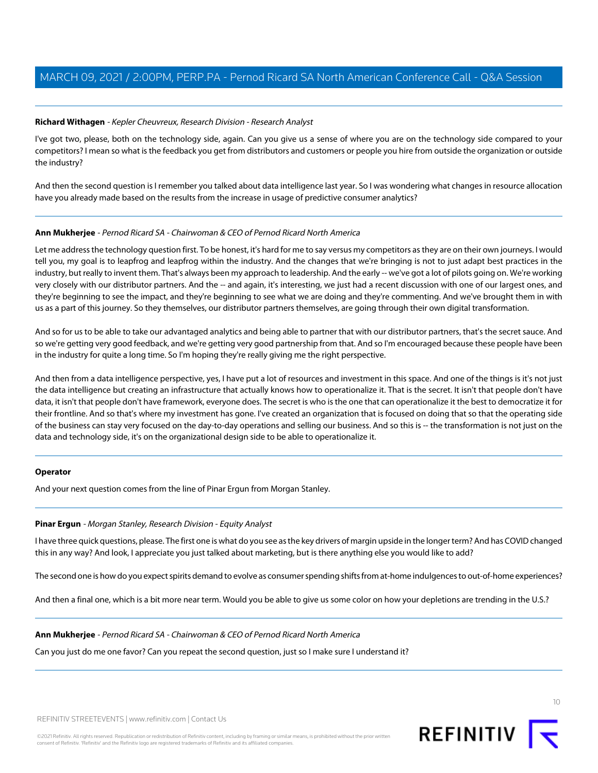## <span id="page-9-1"></span>**Richard Withagen** - Kepler Cheuvreux, Research Division - Research Analyst

I've got two, please, both on the technology side, again. Can you give us a sense of where you are on the technology side compared to your competitors? I mean so what is the feedback you get from distributors and customers or people you hire from outside the organization or outside the industry?

And then the second question is I remember you talked about data intelligence last year. So I was wondering what changes in resource allocation have you already made based on the results from the increase in usage of predictive consumer analytics?

#### **Ann Mukherjee** - Pernod Ricard SA - Chairwoman & CEO of Pernod Ricard North America

Let me address the technology question first. To be honest, it's hard for me to say versus my competitors as they are on their own journeys. I would tell you, my goal is to leapfrog and leapfrog within the industry. And the changes that we're bringing is not to just adapt best practices in the industry, but really to invent them. That's always been my approach to leadership. And the early -- we've got a lot of pilots going on. We're working very closely with our distributor partners. And the -- and again, it's interesting, we just had a recent discussion with one of our largest ones, and they're beginning to see the impact, and they're beginning to see what we are doing and they're commenting. And we've brought them in with us as a part of this journey. So they themselves, our distributor partners themselves, are going through their own digital transformation.

And so for us to be able to take our advantaged analytics and being able to partner that with our distributor partners, that's the secret sauce. And so we're getting very good feedback, and we're getting very good partnership from that. And so I'm encouraged because these people have been in the industry for quite a long time. So I'm hoping they're really giving me the right perspective.

And then from a data intelligence perspective, yes, I have put a lot of resources and investment in this space. And one of the things is it's not just the data intelligence but creating an infrastructure that actually knows how to operationalize it. That is the secret. It isn't that people don't have data, it isn't that people don't have framework, everyone does. The secret is who is the one that can operationalize it the best to democratize it for their frontline. And so that's where my investment has gone. I've created an organization that is focused on doing that so that the operating side of the business can stay very focused on the day-to-day operations and selling our business. And so this is -- the transformation is not just on the data and technology side, it's on the organizational design side to be able to operationalize it.

#### <span id="page-9-0"></span>**Operator**

And your next question comes from the line of Pinar Ergun from Morgan Stanley.

#### **Pinar Ergun** - Morgan Stanley, Research Division - Equity Analyst

I have three quick questions, please. The first one is what do you see as the key drivers of margin upside in the longer term? And has COVID changed this in any way? And look, I appreciate you just talked about marketing, but is there anything else you would like to add?

The second one is how do you expect spirits demand to evolve as consumer spending shifts from at-home indulgences to out-of-home experiences?

And then a final one, which is a bit more near term. Would you be able to give us some color on how your depletions are trending in the U.S.?

#### **Ann Mukherjee** - Pernod Ricard SA - Chairwoman & CEO of Pernod Ricard North America

Can you just do me one favor? Can you repeat the second question, just so I make sure I understand it?

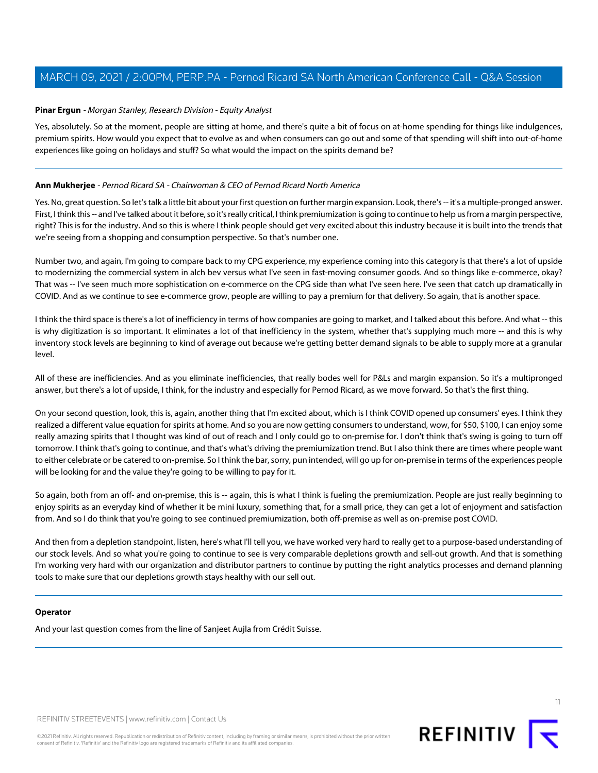## **Pinar Ergun** - Morgan Stanley, Research Division - Equity Analyst

Yes, absolutely. So at the moment, people are sitting at home, and there's quite a bit of focus on at-home spending for things like indulgences, premium spirits. How would you expect that to evolve as and when consumers can go out and some of that spending will shift into out-of-home experiences like going on holidays and stuff? So what would the impact on the spirits demand be?

## **Ann Mukherjee** - Pernod Ricard SA - Chairwoman & CEO of Pernod Ricard North America

Yes. No, great question. So let's talk a little bit about your first question on further margin expansion. Look, there's -- it's a multiple-pronged answer. First, I think this -- and I've talked about it before, so it's really critical, I think premiumization is going to continue to help us from a margin perspective, right? This is for the industry. And so this is where I think people should get very excited about this industry because it is built into the trends that we're seeing from a shopping and consumption perspective. So that's number one.

Number two, and again, I'm going to compare back to my CPG experience, my experience coming into this category is that there's a lot of upside to modernizing the commercial system in alch bev versus what I've seen in fast-moving consumer goods. And so things like e-commerce, okay? That was -- I've seen much more sophistication on e-commerce on the CPG side than what I've seen here. I've seen that catch up dramatically in COVID. And as we continue to see e-commerce grow, people are willing to pay a premium for that delivery. So again, that is another space.

I think the third space is there's a lot of inefficiency in terms of how companies are going to market, and I talked about this before. And what -- this is why digitization is so important. It eliminates a lot of that inefficiency in the system, whether that's supplying much more -- and this is why inventory stock levels are beginning to kind of average out because we're getting better demand signals to be able to supply more at a granular level.

All of these are inefficiencies. And as you eliminate inefficiencies, that really bodes well for P&Ls and margin expansion. So it's a multipronged answer, but there's a lot of upside, I think, for the industry and especially for Pernod Ricard, as we move forward. So that's the first thing.

On your second question, look, this is, again, another thing that I'm excited about, which is I think COVID opened up consumers' eyes. I think they realized a different value equation for spirits at home. And so you are now getting consumers to understand, wow, for \$50, \$100, I can enjoy some really amazing spirits that I thought was kind of out of reach and I only could go to on-premise for. I don't think that's swing is going to turn off tomorrow. I think that's going to continue, and that's what's driving the premiumization trend. But I also think there are times where people want to either celebrate or be catered to on-premise. So I think the bar, sorry, pun intended, will go up for on-premise in terms of the experiences people will be looking for and the value they're going to be willing to pay for it.

So again, both from an off- and on-premise, this is -- again, this is what I think is fueling the premiumization. People are just really beginning to enjoy spirits as an everyday kind of whether it be mini luxury, something that, for a small price, they can get a lot of enjoyment and satisfaction from. And so I do think that you're going to see continued premiumization, both off-premise as well as on-premise post COVID.

And then from a depletion standpoint, listen, here's what I'll tell you, we have worked very hard to really get to a purpose-based understanding of our stock levels. And so what you're going to continue to see is very comparable depletions growth and sell-out growth. And that is something I'm working very hard with our organization and distributor partners to continue by putting the right analytics processes and demand planning tools to make sure that our depletions growth stays healthy with our sell out.

#### **Operator**

And your last question comes from the line of Sanjeet Aujla from Crédit Suisse.



©2021 Refinitiv. All rights reserved. Republication or redistribution of Refinitiv content, including by framing or similar means, is prohibited without the prior written consent of Refinitiv. 'Refinitiv' and the Refinitiv logo are registered trademarks of Refinitiv and its affiliated companies.

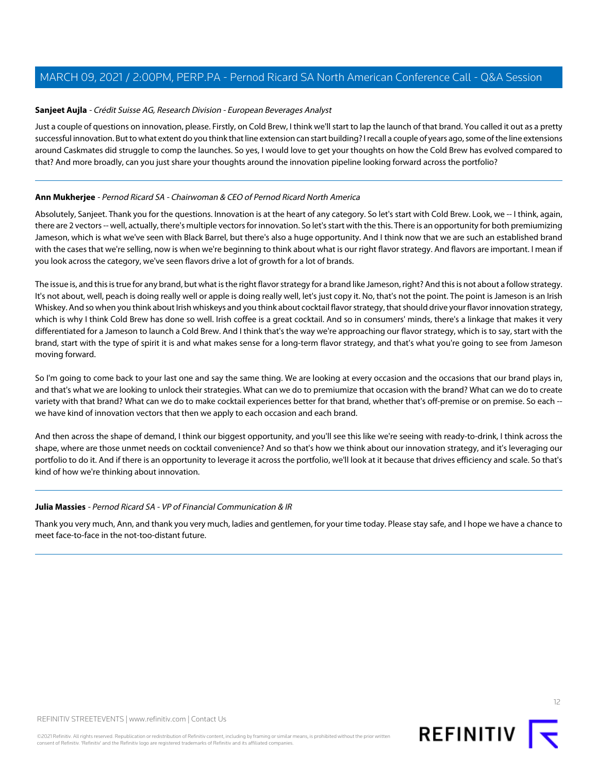## <span id="page-11-0"></span>**Sanjeet Aujla** - Crédit Suisse AG, Research Division - European Beverages Analyst

Just a couple of questions on innovation, please. Firstly, on Cold Brew, I think we'll start to lap the launch of that brand. You called it out as a pretty successful innovation. But to what extent do you think that line extension can start building? I recall a couple of years ago, some of the line extensions around Caskmates did struggle to comp the launches. So yes, I would love to get your thoughts on how the Cold Brew has evolved compared to that? And more broadly, can you just share your thoughts around the innovation pipeline looking forward across the portfolio?

# **Ann Mukherjee** - Pernod Ricard SA - Chairwoman & CEO of Pernod Ricard North America

Absolutely, Sanjeet. Thank you for the questions. Innovation is at the heart of any category. So let's start with Cold Brew. Look, we -- I think, again, there are 2 vectors -- well, actually, there's multiple vectors for innovation. So let's start with the this. There is an opportunity for both premiumizing Jameson, which is what we've seen with Black Barrel, but there's also a huge opportunity. And I think now that we are such an established brand with the cases that we're selling, now is when we're beginning to think about what is our right flavor strategy. And flavors are important. I mean if you look across the category, we've seen flavors drive a lot of growth for a lot of brands.

The issue is, and this is true for any brand, but what is the right flavor strategy for a brand like Jameson, right? And this is not about a follow strategy. It's not about, well, peach is doing really well or apple is doing really well, let's just copy it. No, that's not the point. The point is Jameson is an Irish Whiskey. And so when you think about Irish whiskeys and you think about cocktail flavor strategy, that should drive your flavor innovation strategy, which is why I think Cold Brew has done so well. Irish coffee is a great cocktail. And so in consumers' minds, there's a linkage that makes it very differentiated for a Jameson to launch a Cold Brew. And I think that's the way we're approaching our flavor strategy, which is to say, start with the brand, start with the type of spirit it is and what makes sense for a long-term flavor strategy, and that's what you're going to see from Jameson moving forward.

So I'm going to come back to your last one and say the same thing. We are looking at every occasion and the occasions that our brand plays in, and that's what we are looking to unlock their strategies. What can we do to premiumize that occasion with the brand? What can we do to create variety with that brand? What can we do to make cocktail experiences better for that brand, whether that's off-premise or on premise. So each - we have kind of innovation vectors that then we apply to each occasion and each brand.

And then across the shape of demand, I think our biggest opportunity, and you'll see this like we're seeing with ready-to-drink, I think across the shape, where are those unmet needs on cocktail convenience? And so that's how we think about our innovation strategy, and it's leveraging our portfolio to do it. And if there is an opportunity to leverage it across the portfolio, we'll look at it because that drives efficiency and scale. So that's kind of how we're thinking about innovation.

#### **Julia Massies** - Pernod Ricard SA - VP of Financial Communication & IR

Thank you very much, Ann, and thank you very much, ladies and gentlemen, for your time today. Please stay safe, and I hope we have a chance to meet face-to-face in the not-too-distant future.



12